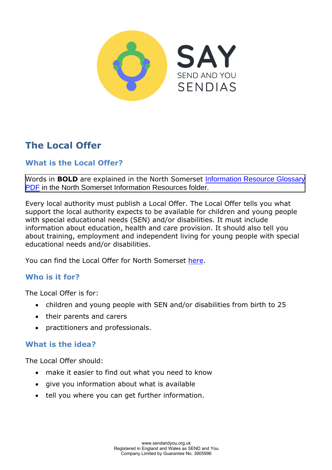

# **The Local Offer**

## **What is the Local Offer?**

Words in **BOLD** are explained in the North Somerset Information Resource Glossary PDF [in the North Somerset Information Resources folder.](https://www.sendandyou.org.uk/wp-content/uploads/2021/08/Information-Resource-Glossary-REVISED2-new.pdf)

[Every](https://www.supportiveparents.org.uk/wp-content/uploads/2020/02/Information-Resource-Glossary-REVISED2.pdf) local authority must publish a Local Offer. The Local Offer tells you what support the local authority expects to be available for children and young people with special educational needs (SEN) and/or disabilities. It must include information about education, health and care provision. It should also tell you about training, employment and independent living for young people with special educational needs and/or disabilities.

You can find the Local Offer for North Somerset [here.](https://nsod.n-somerset.gov.uk/kb5/northsomerset/directory/localoffer.page?localofferchannel=0)

## **Who is it for?**

The Local Offer is for:

- children and young people with SEN and/or disabilities from birth to 25
- their parents and carers
- practitioners and professionals.

#### **What is the idea?**

The Local Offer should:

- make it easier to find out what you need to know
- give you information about what is available
- tell you where you can get further information.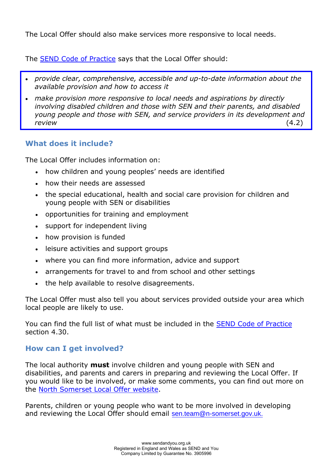The Local Offer should also make services more responsive to local needs.

The [SEND Code of Practice](https://www.gov.uk/government/publications/send-code-of-practice-0-to-25) says that the Local Offer should:

- *provide clear, comprehensive, accessible and up-to-date information about the available provision and how to access it*
- *make provision more responsive to local needs and aspirations by directly involving disabled children and those with SEN and their parents, and disabled young people and those with SEN, and service providers in its development and review* (4.2)

#### **What does it include?**

The Local Offer includes information on:

- how children and young peoples' needs are identified
- how their needs are assessed
- the special educational, health and social care provision for children and young people with SEN or disabilities
- opportunities for training and employment
- support for independent living
- how provision is funded
- leisure activities and support groups
- where you can find more information, advice and support
- arrangements for travel to and from school and other settings
- the help available to resolve disagreements.

The Local Offer must also tell you about services provided outside your area which local people are likely to use.

You can find the full list of what must be included in the [SEND Code of Practice](https://www.gov.uk/government/publications/send-code-of-practice-0-to-25) section 4.30.

## **How can I get involved?**

The local authority **must** involve children and young people with SEN and disabilities, and parents and carers in preparing and reviewing the Local Offer. If you would like to be involved, or make some comments, you can find out more on the [North Somerset Local Offer website.](https://northsomersetonlinedirectory.n-somerset.gov.uk/kb5/northsomerset/directory/localoffer.page?localofferchannel=0)

Parents, children or young people who want to be more involved in developing and reviewing the Local Offer should email [sen.team@n-somerset.gov.uk.](mailto:sen.team@n-somerset.gov.uk)